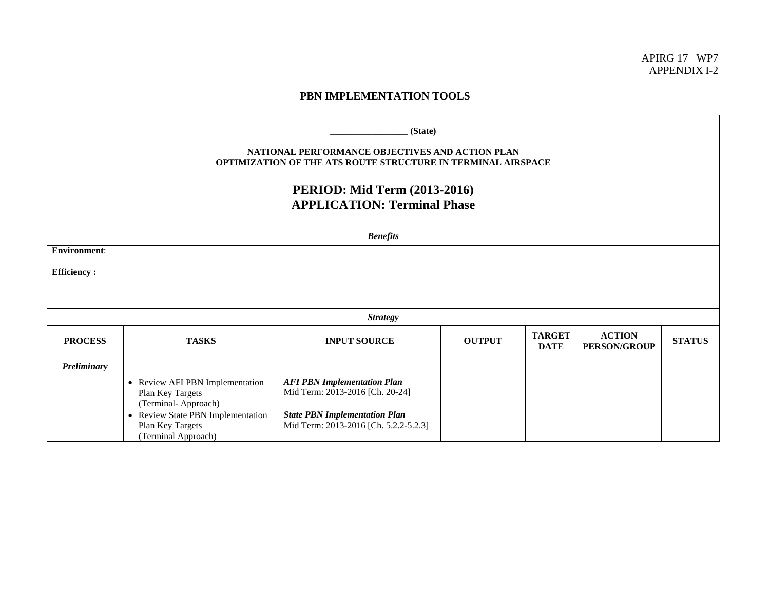APIRG 17 WP7 APPENDIX I-2

## **PBN IMPLEMENTATION TOOLS**

| (State)<br>NATIONAL PERFORMANCE OBJECTIVES AND ACTION PLAN<br><b>OPTIMIZATION OF THE ATS ROUTE STRUCTURE IN TERMINAL AIRSPACE</b><br><b>PERIOD: Mid Term (2013-2016)</b><br><b>APPLICATION: Terminal Phase</b> |                                                                              |                                                                               |               |                              |                                      |               |  |  |
|----------------------------------------------------------------------------------------------------------------------------------------------------------------------------------------------------------------|------------------------------------------------------------------------------|-------------------------------------------------------------------------------|---------------|------------------------------|--------------------------------------|---------------|--|--|
|                                                                                                                                                                                                                | <b>Benefits</b>                                                              |                                                                               |               |                              |                                      |               |  |  |
| <b>Environment:</b><br><b>Efficiency:</b>                                                                                                                                                                      |                                                                              |                                                                               |               |                              |                                      |               |  |  |
|                                                                                                                                                                                                                | <b>Strategy</b>                                                              |                                                                               |               |                              |                                      |               |  |  |
| <b>PROCESS</b>                                                                                                                                                                                                 | <b>TASKS</b>                                                                 | <b>INPUT SOURCE</b>                                                           | <b>OUTPUT</b> | <b>TARGET</b><br><b>DATE</b> | <b>ACTION</b><br><b>PERSON/GROUP</b> | <b>STATUS</b> |  |  |
| Preliminary                                                                                                                                                                                                    |                                                                              |                                                                               |               |                              |                                      |               |  |  |
|                                                                                                                                                                                                                | • Review AFI PBN Implementation<br>Plan Key Targets<br>(Terminal-Approach)   | <b>AFI PBN Implementation Plan</b><br>Mid Term: 2013-2016 [Ch. 20-24]         |               |                              |                                      |               |  |  |
|                                                                                                                                                                                                                | • Review State PBN Implementation<br>Plan Key Targets<br>(Terminal Approach) | <b>State PBN Implementation Plan</b><br>Mid Term: 2013-2016 [Ch. 5.2.2-5.2.3] |               |                              |                                      |               |  |  |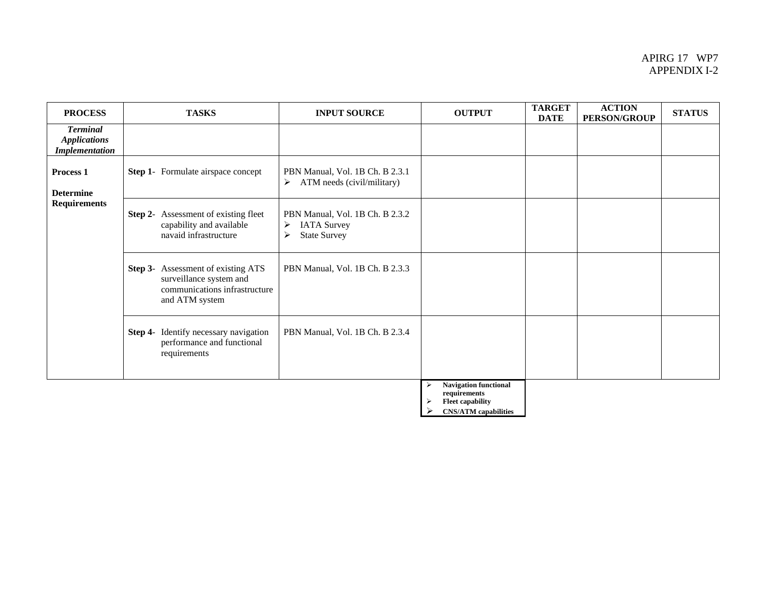## APIRG 17 WP7 APPENDIX I-2

| <b>PROCESS</b>                                                  | <b>TASKS</b>                                                                                                            | <b>INPUT SOURCE</b>                                                                                        | <b>OUTPUT</b>                                                                | <b>TARGET</b><br><b>DATE</b> | <b>ACTION</b><br><b>PERSON/GROUP</b> | <b>STATUS</b> |
|-----------------------------------------------------------------|-------------------------------------------------------------------------------------------------------------------------|------------------------------------------------------------------------------------------------------------|------------------------------------------------------------------------------|------------------------------|--------------------------------------|---------------|
| <b>Terminal</b><br><b>Applications</b><br><b>Implementation</b> |                                                                                                                         |                                                                                                            |                                                                              |                              |                                      |               |
| Process <sub>1</sub><br><b>Determine</b><br><b>Requirements</b> | <b>Step 1-</b> Formulate airspace concept                                                                               | PBN Manual, Vol. 1B Ch. B 2.3.1<br>ATM needs (civil/military)<br>$\triangleright$                          |                                                                              |                              |                                      |               |
|                                                                 | <b>Step 2-</b> Assessment of existing fleet<br>capability and available<br>navaid infrastructure                        | PBN Manual, Vol. 1B Ch. B 2.3.2<br>$\blacktriangleright$<br><b>IATA Survey</b><br><b>State Survey</b><br>≻ |                                                                              |                              |                                      |               |
|                                                                 | <b>Step 3-</b> Assessment of existing ATS<br>surveillance system and<br>communications infrastructure<br>and ATM system | PBN Manual, Vol. 1B Ch. B 2.3.3                                                                            |                                                                              |                              |                                      |               |
|                                                                 | Identify necessary navigation<br>Step 4-<br>performance and functional<br>requirements                                  | PBN Manual, Vol. 1B Ch. B 2.3.4                                                                            |                                                                              |                              |                                      |               |
|                                                                 |                                                                                                                         |                                                                                                            | <b>Navigation functional</b><br>⋗<br>requirements<br><b>Fleet capability</b> |                              |                                      |               |

¾ **CNS/ATM capabilities**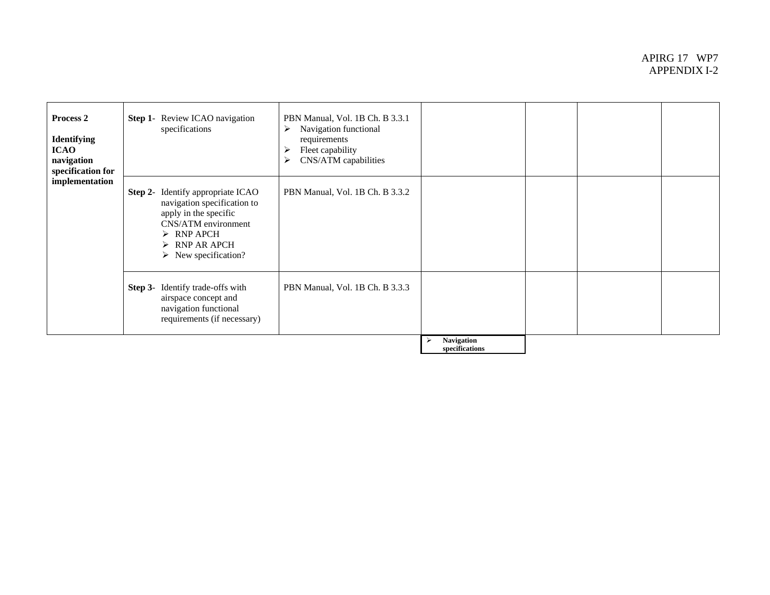## APIRG 17 WP7 APPENDIX I-2

| Process 2<br><b>Identifying</b><br><b>ICAO</b><br>navigation<br>specification for<br>implementation | Step 1- Review ICAO navigation<br>specifications                                                                                                                                                                            | PBN Manual, Vol. 1B Ch. B 3.3.1<br>Navigation functional<br>➤<br>requirements<br>Fleet capability<br>➤<br>CNS/ATM capabilities<br>≻ |                                     |  |  |
|-----------------------------------------------------------------------------------------------------|-----------------------------------------------------------------------------------------------------------------------------------------------------------------------------------------------------------------------------|-------------------------------------------------------------------------------------------------------------------------------------|-------------------------------------|--|--|
|                                                                                                     | <b>Step 2-</b> Identify appropriate ICAO<br>navigation specification to<br>apply in the specific<br>CNS/ATM environment<br>$\triangleright$ RNP APCH<br>$\triangleright$ RNP AR APCH<br>$\triangleright$ New specification? | PBN Manual, Vol. 1B Ch. B 3.3.2                                                                                                     |                                     |  |  |
|                                                                                                     | Step 3- Identify trade-offs with<br>airspace concept and<br>navigation functional<br>requirements (if necessary)                                                                                                            | PBN Manual, Vol. 1B Ch. B 3.3.3                                                                                                     |                                     |  |  |
|                                                                                                     |                                                                                                                                                                                                                             |                                                                                                                                     | <b>Navigation</b><br>specifications |  |  |